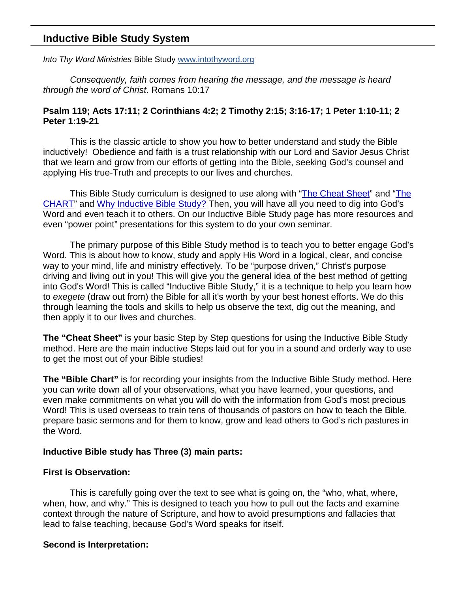# **Inductive Bible Study System**

*Into Thy Word Ministries* Bible Study www.intothyword.org

*Consequently, faith comes from hearing the message, and the message is heard through the word of Christ*. Romans 10:17

## **Psalm 119; Acts 17:11; 2 Corinthians 4:2; 2 Timothy 2:15; 3:16-17; 1 Peter 1:10-11; 2 Peter 1:19-21**

This is the classic article to show you how to better understand and study the Bible inductively! Obedience and faith is a trust relationship with our Lord and Savior Jesus Christ that we learn and grow from our efforts of getting into the Bible, seeking God's counsel and applying His true-Truth and precepts to our lives and churches.

This Bible Study curriculum is designed to use along with "The Cheat Sheet" and "The CHART" and Why Inductive Bible Study? Then, you will have all you need to dig into God's Word and even teach it to others. On our Inductive Bible Study page has more resources and even "power point" presentations for this system to do your own seminar.

The primary purpose of this Bible Study method is to teach you to better engage God's Word. This is about how to know, study and apply His Word in a logical, clear, and concise way to your mind, life and ministry effectively. To be "purpose driven," Christ's purpose driving and living out in you! This will give you the general idea of the best method of getting into God's Word! This is called "Inductive Bible Study," it is a technique to help you learn how to *exegete* (draw out from) the Bible for all it's worth by your best honest efforts. We do this through learning the tools and skills to help us observe the text, dig out the meaning, and then apply it to our lives and churches.

**The "Cheat Sheet"** is your basic Step by Step questions for using the Inductive Bible Study method. Here are the main inductive Steps laid out for you in a sound and orderly way to use to get the most out of your Bible studies!

**The "Bible Chart"** is for recording your insights from the Inductive Bible Study method. Here you can write down all of your observations, what you have learned, your questions, and even make commitments on what you will do with the information from God's most precious Word! This is used overseas to train tens of thousands of pastors on how to teach the Bible, prepare basic sermons and for them to know, grow and lead others to God's rich pastures in the Word.

# **Inductive Bible study has Three (3) main parts:**

## **First is Observation:**

This is carefully going over the text to see what is going on, the "who, what, where, when, how, and why." This is designed to teach you how to pull out the facts and examine context through the nature of Scripture, and how to avoid presumptions and fallacies that lead to false teaching, because God's Word speaks for itself.

## **Second is Interpretation:**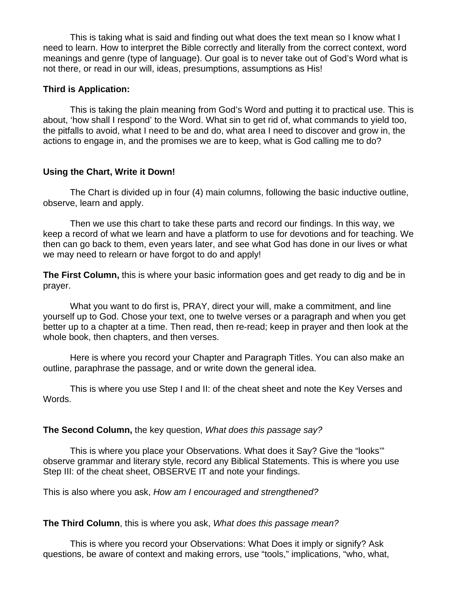This is taking what is said and finding out what does the text mean so I know what I need to learn. How to interpret the Bible correctly and literally from the correct context, word meanings and genre (type of language). Our goal is to never take out of God's Word what is not there, or read in our will, ideas, presumptions, assumptions as His!

## **Third is Application:**

This is taking the plain meaning from God's Word and putting it to practical use. This is about, 'how shall I respond' to the Word. What sin to get rid of, what commands to yield too, the pitfalls to avoid, what I need to be and do, what area I need to discover and grow in, the actions to engage in, and the promises we are to keep, what is God calling me to do?

# **Using the Chart, Write it Down!**

The Chart is divided up in four (4) main columns, following the basic inductive outline, observe, learn and apply.

Then we use this chart to take these parts and record our findings. In this way, we keep a record of what we learn and have a platform to use for devotions and for teaching. We then can go back to them, even years later, and see what God has done in our lives or what we may need to relearn or have forgot to do and apply!

**The First Column,** this is where your basic information goes and get ready to dig and be in prayer.

What you want to do first is, PRAY, direct your will, make a commitment, and line yourself up to God. Chose your text, one to twelve verses or a paragraph and when you get better up to a chapter at a time. Then read, then re-read; keep in prayer and then look at the whole book, then chapters, and then verses.

Here is where you record your Chapter and Paragraph Titles. You can also make an outline, paraphrase the passage, and or write down the general idea.

This is where you use Step I and II: of the cheat sheet and note the Key Verses and Words.

## **The Second Column,** the key question, *What does this passage say?*

This is where you place your Observations. What does it Say? Give the "looks'" observe grammar and literary style, record any Biblical Statements. This is where you use Step III: of the cheat sheet, OBSERVE IT and note your findings.

This is also where you ask, *How am I encouraged and strengthened?* 

## **The Third Column**, this is where you ask, *What does this passage mean?*

This is where you record your Observations: What Does it imply or signify? Ask questions, be aware of context and making errors, use "tools," implications, "who, what,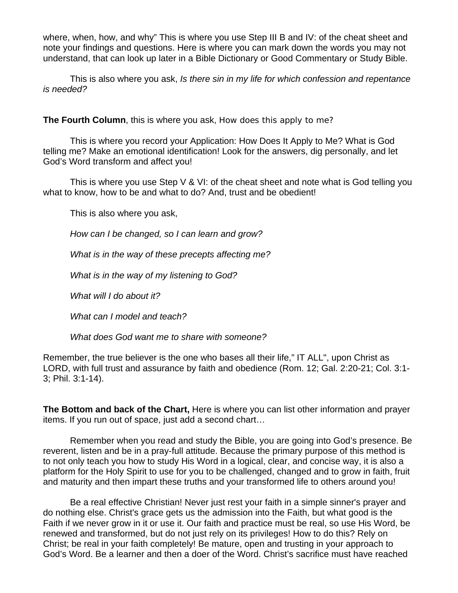where, when, how, and why" This is where you use Step III B and IV: of the cheat sheet and note your findings and questions. Here is where you can mark down the words you may not understand, that can look up later in a Bible Dictionary or Good Commentary or Study Bible.

This is also where you ask, *Is there sin in my life for which confession and repentance is needed?* 

**The Fourth Column**, this is where you ask, *How does this apply to me?*

This is where you record your Application: How Does It Apply to Me? What is God telling me? Make an emotional identification! Look for the answers, dig personally, and let God's Word transform and affect you!

This is where you use Step V & VI: of the cheat sheet and note what is God telling you what to know, how to be and what to do? And, trust and be obedient!

This is also where you ask,

*How can I be changed, so I can learn and grow?*

*What is in the way of these precepts affecting me?* 

*What is in the way of my listening to God?* 

*What will I do about it?* 

*What can I model and teach?* 

*What does God want me to share with someone?*

Remember, the true believer is the one who bases all their life," IT ALL", upon Christ as LORD, with full trust and assurance by faith and obedience (Rom. 12; Gal. 2:20-21; Col. 3:1- 3; Phil. 3:1-14).

**The Bottom and back of the Chart,** Here is where you can list other information and prayer items. If you run out of space, just add a second chart…

Remember when you read and study the Bible, you are going into God's presence. Be reverent, listen and be in a pray-full attitude. Because the primary purpose of this method is to not only teach you how to study His Word in a logical, clear, and concise way, it is also a platform for the Holy Spirit to use for you to be challenged, changed and to grow in faith, fruit and maturity and then impart these truths and your transformed life to others around you!

Be a real effective Christian! Never just rest your faith in a simple sinner's prayer and do nothing else. Christ's grace gets us the admission into the Faith, but what good is the Faith if we never grow in it or use it. Our faith and practice must be real, so use His Word, be renewed and transformed, but do not just rely on its privileges! How to do this? Rely on Christ; be real in your faith completely! Be mature, open and trusting in your approach to God's Word. Be a learner and then a doer of the Word. Christ's sacrifice must have reached